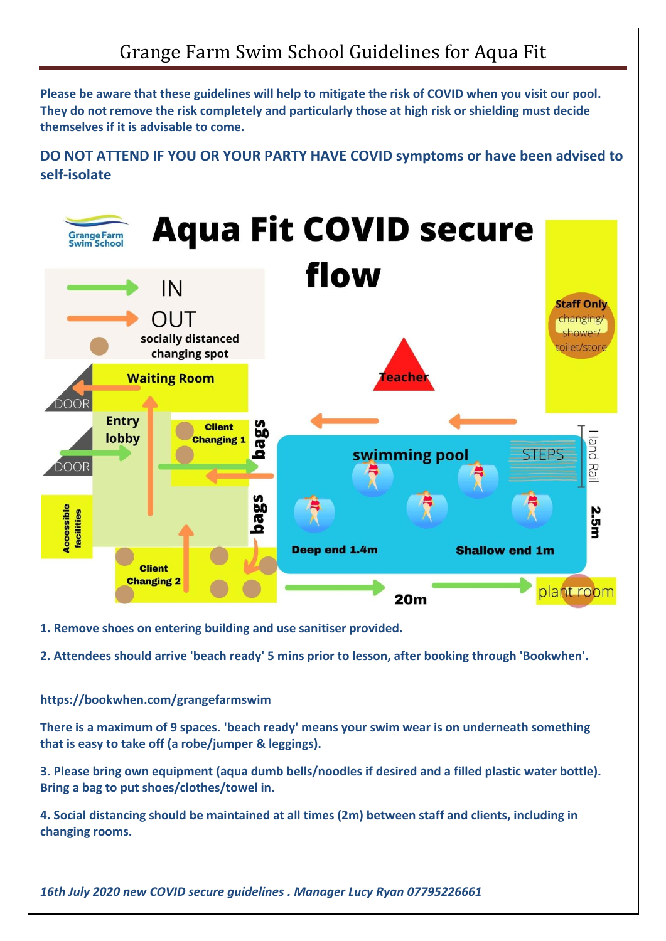## Grange Farm Swim School Guidelines for Aqua Fit

**Please be aware that these guidelines will help to mitigate the risk of COVID when you visit our pool. They do not remove the risk completely and particularly those at high risk or shielding must decide themselves if it is advisable to come.** 

**DO NOT ATTEND IF YOU OR YOUR PARTY HAVE COVID symptoms or have been advised to self-isolate**



**1. Remove shoes on entering building and use sanitiser provided.**

**2. Attendees should arrive 'beach ready' 5 mins prior to lesson, after booking through 'Bookwhen'.**

## **https://bookwhen.com/grangefarmswim**

**There is a maximum of 9 spaces. 'beach ready' means your swim wear is on underneath something that is easy to take off (a robe/jumper & leggings).** 

**3. Please bring own equipment (aqua dumb bells/noodles if desired and a filled plastic water bottle). Bring a bag to put shoes/clothes/towel in.**

**4. Social distancing should be maintained at all times (2m) between staff and clients, including in changing rooms.**

*16th July 2020 new COVID secure guidelines . Manager Lucy Ryan 07795226661*